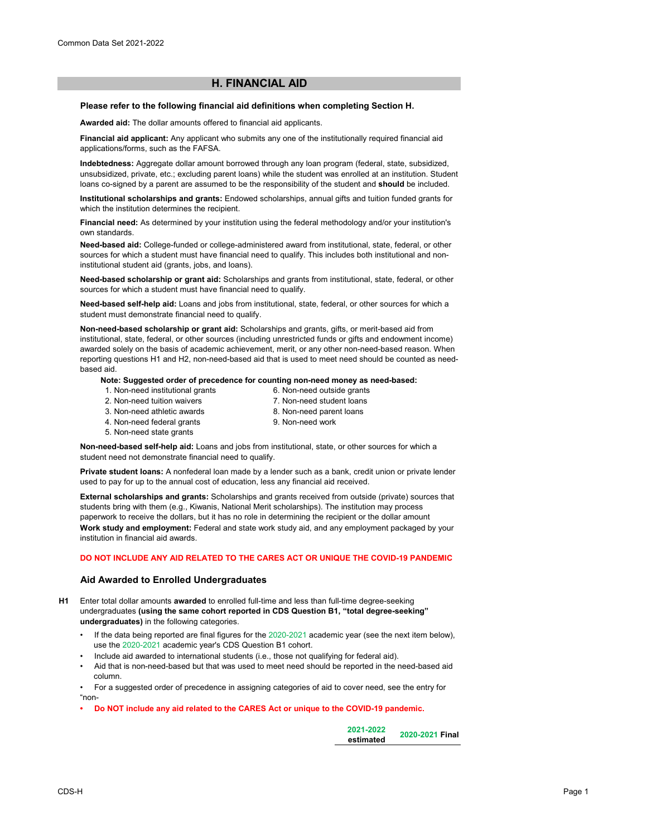# **H. FINANCIAL AID**

#### **Please refer to the following financial aid definitions when completing Section H.**

**Awarded aid:** The dollar amounts offered to financial aid applicants.

**Financial aid applicant:** Any applicant who submits any one of the institutionally required financial aid applications/forms, such as the FAFSA.

**Indebtedness:** Aggregate dollar amount borrowed through any loan program (federal, state, subsidized, unsubsidized, private, etc.; excluding parent loans) while the student was enrolled at an institution. Student loans co-signed by a parent are assumed to be the responsibility of the student and **should** be included.

**Institutional scholarships and grants:** Endowed scholarships, annual gifts and tuition funded grants for which the institution determines the recipient.

**Financial need:** As determined by your institution using the federal methodology and/or your institution's own standards.

**Need-based aid:** College-funded or college-administered award from institutional, state, federal, or other sources for which a student must have financial need to qualify. This includes both institutional and noninstitutional student aid (grants, jobs, and loans).

**Need-based scholarship or grant aid:** Scholarships and grants from institutional, state, federal, or other sources for which a student must have financial need to qualify.

**Need-based self-help aid:** Loans and jobs from institutional, state, federal, or other sources for which a student must demonstrate financial need to qualify.

**Non-need-based scholarship or grant aid:** Scholarships and grants, gifts, or merit-based aid from institutional, state, federal, or other sources (including unrestricted funds or gifts and endowment income) awarded solely on the basis of academic achievement, merit, or any other non-need-based reason. When reporting questions H1 and H2, non-need-based aid that is used to meet need should be counted as needbased aid.

**Note: Suggested order of precedence for counting non-need money as need-based:**

- 1. Non-need institutional grants
- 6. Non-need outside grants 7. Non-need student loans
- 2. Non-need tuition waivers 3. Non-need athletic awards
- 8. Non-need parent loans
- 4. Non-need federal grants
- 9. Non-need work
- 5. Non-need state grants

**Non-need-based self-help aid:** Loans and jobs from institutional, state, or other sources for which a student need not demonstrate financial need to qualify.

**Private student loans:** A nonfederal loan made by a lender such as a bank, credit union or private lender used to pay for up to the annual cost of education, less any financial aid received.

**External scholarships and grants:** Scholarships and grants received from outside (private) sources that students bring with them (e.g., Kiwanis, National Merit scholarships). The institution may process paperwork to receive the dollars, but it has no role in determining the recipient or the dollar amount **Work study and employment:** Federal and state work study aid, and any employment packaged by your institution in financial aid awards.

#### **DO NOT INCLUDE ANY AID RELATED TO THE CARES ACT OR UNIQUE THE COVID-19 PANDEMIC**

## **Aid Awarded to Enrolled Undergraduates**

- **H1** Enter total dollar amounts **awarded** to enrolled full-time and less than full-time degree-seeking undergraduates **(using the same cohort reported in CDS Question B1, "total degree-seeking" undergraduates)** in the following categories.
	- If the data being reported are final figures for the 2020-2021 academic year (see the next item below), use the 2020-2021 academic year's CDS Question B1 cohort.
	- Include aid awarded to international students (i.e., those not qualifying for federal aid).
	- Aid that is non-need-based but that was used to meet need should be reported in the need-based aid column.

• For a suggested order of precedence in assigning categories of aid to cover need, see the entry for "non-

**• Do NOT include any aid related to the CARES Act or unique to the COVID-19 pandemic.**

| 2021-2022 | 2020-2021 Final |
|-----------|-----------------|
| estimated |                 |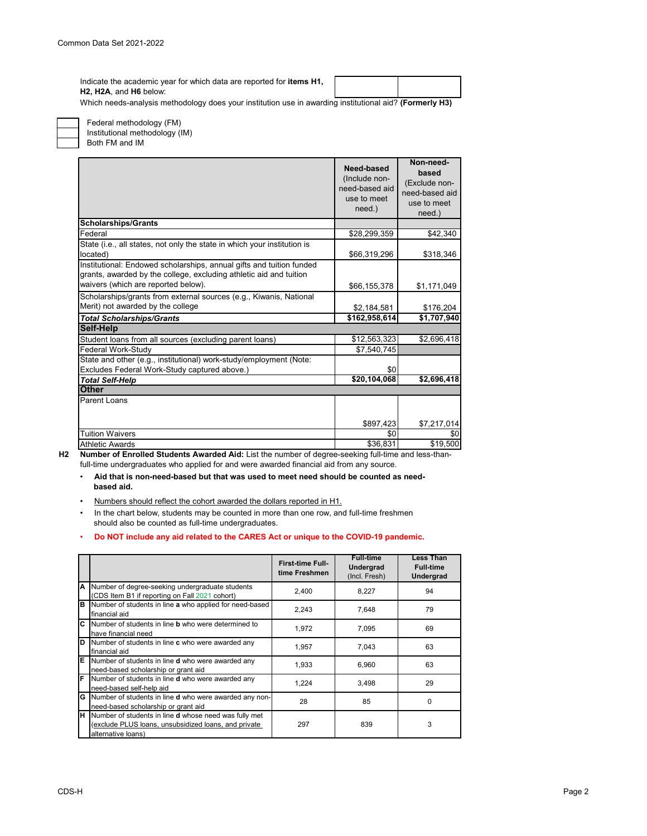Indicate the academic year for which data are reported for **items H1, H2, H2A**, and **H6** below:

Which needs-analysis methodology does your institution use in awarding institutional aid? **(Formerly H3)**

Both FM and IM Federal methodology (FM) Institutional methodology (IM)

|                                                                                                                                            | Need-based<br>(Include non-<br>need-based aid<br>use to meet<br>need.) | Non-need-<br>based<br>(Exclude non-<br>need-based aid<br>use to meet<br>need.) |
|--------------------------------------------------------------------------------------------------------------------------------------------|------------------------------------------------------------------------|--------------------------------------------------------------------------------|
| <b>Scholarships/Grants</b>                                                                                                                 |                                                                        |                                                                                |
| Federal                                                                                                                                    | \$28,299,359                                                           | \$42,340                                                                       |
| State (i.e., all states, not only the state in which your institution is                                                                   |                                                                        |                                                                                |
| located)                                                                                                                                   | \$66,319,296                                                           | \$318,346                                                                      |
| Institutional: Endowed scholarships, annual gifts and tuition funded<br>grants, awarded by the college, excluding athletic aid and tuition |                                                                        |                                                                                |
| waivers (which are reported below).                                                                                                        | \$66,155,378                                                           | \$1,171,049                                                                    |
| Scholarships/grants from external sources (e.g., Kiwanis, National                                                                         |                                                                        |                                                                                |
| Merit) not awarded by the college                                                                                                          | \$2,184,581                                                            | \$176,204                                                                      |
| <b>Total Scholarships/Grants</b>                                                                                                           | \$162,958,614                                                          | \$1,707,940                                                                    |
| <b>Self-Help</b>                                                                                                                           |                                                                        |                                                                                |
| Student loans from all sources (excluding parent loans)                                                                                    | \$12,563,323                                                           | \$2,696,418                                                                    |
| <b>Federal Work-Study</b>                                                                                                                  | \$7,540,745                                                            |                                                                                |
| State and other (e.g., institutional) work-study/employment (Note:                                                                         |                                                                        |                                                                                |
| Excludes Federal Work-Study captured above.)                                                                                               | \$0                                                                    |                                                                                |
| <b>Total Self-Help</b>                                                                                                                     | \$20,104,068                                                           | \$2,696,418                                                                    |
| <b>Other</b>                                                                                                                               |                                                                        |                                                                                |
| Parent Loans                                                                                                                               |                                                                        |                                                                                |
|                                                                                                                                            | \$897,423                                                              | \$7,217,014                                                                    |
| <b>Tuition Waivers</b>                                                                                                                     | \$0                                                                    | \$0                                                                            |
| <b>Athletic Awards</b>                                                                                                                     | \$36,831                                                               | \$19,500                                                                       |

**H2 Number of Enrolled Students Awarded Aid:** List the number of degree-seeking full-time and less-than-

full-time undergraduates who applied for and were awarded financial aid from any source.

- • **Aid that is non-need-based but that was used to meet need should be counted as need based aid.**
- Numbers should reflect the cohort awarded the dollars reported in H1.

• In the chart below, students may be counted in more than one row, and full-time freshmen should also be counted as full-time undergraduates.

#### • **Do NOT include any aid related to the CARES Act or unique to the COVID-19 pandemic.**

|   |                                                                                                                                                     | <b>First-time Full-</b><br>time Freshmen | <b>Full-time</b><br><b>Undergrad</b><br>(Incl. Fresh) | <b>Less Than</b><br><b>Full-time</b><br><b>Undergrad</b> |
|---|-----------------------------------------------------------------------------------------------------------------------------------------------------|------------------------------------------|-------------------------------------------------------|----------------------------------------------------------|
|   | A Number of degree-seeking undergraduate students<br>(CDS Item B1 if reporting on Fall 2021 cohort)                                                 | 2,400                                    | 8,227                                                 | 94                                                       |
| B | Number of students in line a who applied for need-based<br>lfinancial aid                                                                           | 2,243                                    | 7,648                                                 | 79                                                       |
|   | C Number of students in line <b>b</b> who were determined to<br>have financial need                                                                 | 1,972                                    | 7,095                                                 | 69                                                       |
| D | Number of students in line c who were awarded any<br>financial aid                                                                                  | 1,957                                    | 7,043                                                 | 63                                                       |
| E | Number of students in line <b>d</b> who were awarded any<br>need-based scholarship or grant aid                                                     | 1,933                                    | 6,960                                                 | 63                                                       |
| F | Number of students in line <b>d</b> who were awarded any<br>need-based self-help aid                                                                | 1,224                                    | 3,498                                                 | 29                                                       |
|   | G Number of students in line d who were awarded any non-<br>need-based scholarship or grant aid                                                     | 28                                       | 85                                                    | 0                                                        |
|   | <b>H</b> Number of students in line <b>d</b> whose need was fully met<br>(exclude PLUS loans, unsubsidized loans, and private<br>alternative loans) | 297                                      | 839                                                   | 3                                                        |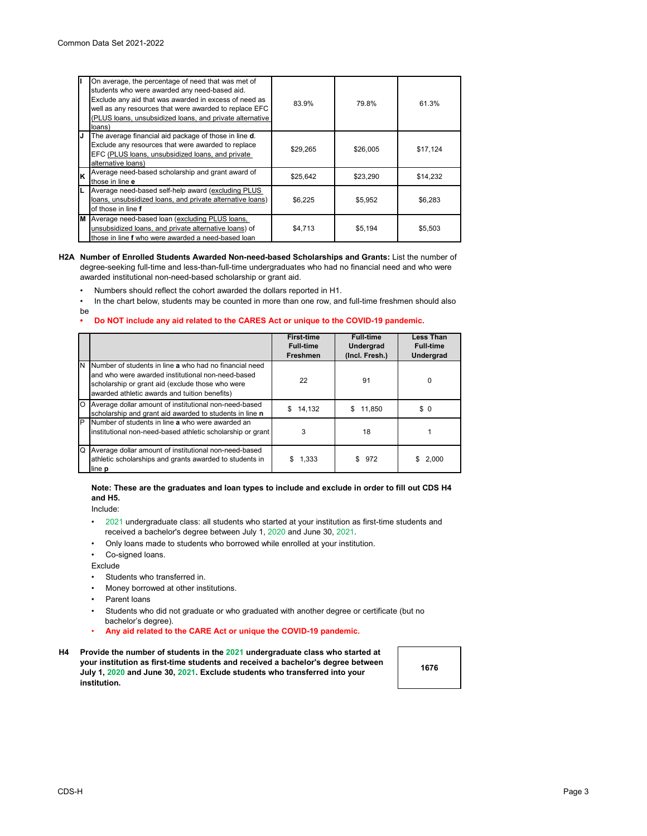| H  | On average, the percentage of need that was met of<br>students who were awarded any need-based aid.<br>Exclude any aid that was awarded in excess of need as<br>well as any resources that were awarded to replace EFC<br>(PLUS loans, unsubsidized loans, and private alternative<br>loans) | 83.9%    | 79.8%    | 61.3%    |
|----|----------------------------------------------------------------------------------------------------------------------------------------------------------------------------------------------------------------------------------------------------------------------------------------------|----------|----------|----------|
| IJ | The average financial aid package of those in line d.<br>Exclude any resources that were awarded to replace<br>EFC (PLUS loans, unsubsidized loans, and private<br>alternative loans)                                                                                                        | \$29,265 | \$26,005 | \$17,124 |
| lκ | Average need-based scholarship and grant award of<br>those in line e                                                                                                                                                                                                                         | \$25,642 | \$23,290 | \$14,232 |
| L  | Average need-based self-help award (excluding PLUS<br>loans, unsubsidized loans, and private alternative loans)<br>of those in line f                                                                                                                                                        | \$6,225  | \$5,952  | \$6,283  |
|    | M Average need-based loan (excluding PLUS loans,<br>unsubsidized loans, and private alternative loans) of<br>those in line f who were awarded a need-based loan                                                                                                                              | \$4,713  | \$5,194  | \$5,503  |

### **H2A Number of Enrolled Students Awarded Non-need-based Scholarships and Grants:** List the number of degree-seeking full-time and less-than-full-time undergraduates who had no financial need and who were awarded institutional non-need-based scholarship or grant aid.

• Numbers should reflect the cohort awarded the dollars reported in H1.

• In the chart below, students may be counted in more than one row, and full-time freshmen should also be

#### **• Do NOT include any aid related to the CARES Act or unique to the COVID-19 pandemic.**

|   |                                                                                                                                                                                                                  | <b>First-time</b><br><b>Full-time</b><br><b>Freshmen</b> | <b>Full-time</b><br><b>Undergrad</b><br>(Incl. Fresh.) | <b>Less Than</b><br><b>Full-time</b><br><b>Undergrad</b> |
|---|------------------------------------------------------------------------------------------------------------------------------------------------------------------------------------------------------------------|----------------------------------------------------------|--------------------------------------------------------|----------------------------------------------------------|
| N | Number of students in line a who had no financial need<br>and who were awarded institutional non-need-based<br>scholarship or grant aid (exclude those who were<br>awarded athletic awards and tuition benefits) | 22                                                       | 91                                                     | 0                                                        |
| O | Average dollar amount of institutional non-need-based<br>scholarship and grant aid awarded to students in line n                                                                                                 | \$14,132                                                 | \$<br>11,850                                           | \$0                                                      |
| P | Number of students in line a who were awarded an<br>institutional non-need-based athletic scholarship or grant                                                                                                   | 3                                                        | 18                                                     |                                                          |
| Q | Average dollar amount of institutional non-need-based<br>athletic scholarships and grants awarded to students in<br>line <b>p</b>                                                                                | S<br>1,333                                               | \$972                                                  | 2,000                                                    |

#### **Note: These are the graduates and loan types to include and exclude in order to fill out CDS H4 and H5.**

Include:

- •2021 undergraduate class: all students who started at your institution as first-time students and received a bachelor's degree between July 1, 2020 and June 30, 2021.
- Only loans made to students who borrowed while enrolled at your institution.
- Co-signed loans.

Exclude

- Students who transferred in.
- Money borrowed at other institutions.
- Parent loans
- Students who did not graduate or who graduated with another degree or certificate (but no bachelor's degree).
- **Any aid related to the CARE Act or unique the COVID-19 pandemic.**
- **H4 Provide the number of students in the 2021 undergraduate class who started at your institution as first-time students and received a bachelor's degree between July 1, 2020 and June 30, 2021. Exclude students who transferred into your institution.**

**1676**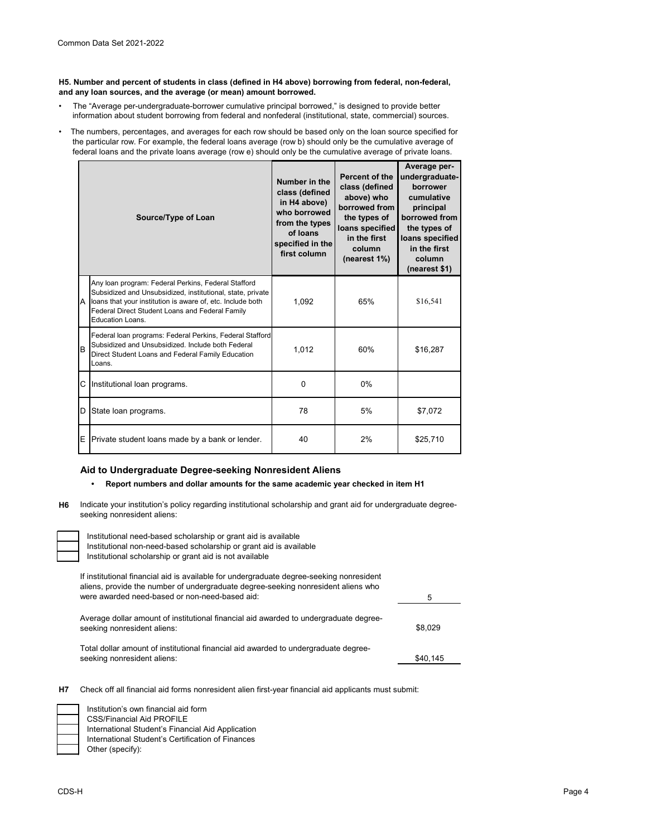**H5. Number and percent of students in class (defined in H4 above) borrowing from federal, non-federal, and any loan sources, and the average (or mean) amount borrowed.**

- The "Average per-undergraduate-borrower cumulative principal borrowed," is designed to provide better information about student borrowing from federal and nonfederal (institutional, state, commercial) sources.
- The numbers, percentages, and averages for each row should be based only on the loan source specified for the particular row. For example, the federal loans average (row b) should only be the cumulative average of federal loans and the private loans average (row e) should only be the cumulative average of private loans.

| Source/Type of Loan |                                                                                                                                                                                                                                                        | <b>Percent of the</b><br>Number in the<br>class (defined<br>class (defined<br>above) who<br>in H4 above)<br>borrowed from<br>who borrowed<br>the types of<br>from the types<br>loans specified<br>of loans<br>in the first<br>specified in the<br>column<br>first column<br>(nearest 1%) |       | Average per-<br>undergraduate-<br>borrower<br>cumulative<br>principal<br>borrowed from<br>the types of<br>loans specified<br>in the first<br>column<br>(nearest \$1) |  |
|---------------------|--------------------------------------------------------------------------------------------------------------------------------------------------------------------------------------------------------------------------------------------------------|------------------------------------------------------------------------------------------------------------------------------------------------------------------------------------------------------------------------------------------------------------------------------------------|-------|----------------------------------------------------------------------------------------------------------------------------------------------------------------------|--|
| A                   | Any loan program: Federal Perkins, Federal Stafford<br>Subsidized and Unsubsidized, institutional, state, private<br>loans that your institution is aware of, etc. Include both<br>Federal Direct Student Loans and Federal Family<br>Education Loans. | 1,092                                                                                                                                                                                                                                                                                    | 65%   | \$16,541                                                                                                                                                             |  |
| lв                  | Federal loan programs: Federal Perkins, Federal Stafford<br>Subsidized and Unsubsidized. Include both Federal<br>Direct Student Loans and Federal Family Education<br>Loans.                                                                           | 1,012                                                                                                                                                                                                                                                                                    | 60%   | \$16,287                                                                                                                                                             |  |
| С                   | Institutional loan programs.                                                                                                                                                                                                                           | 0                                                                                                                                                                                                                                                                                        | $0\%$ |                                                                                                                                                                      |  |
| D                   | State loan programs.                                                                                                                                                                                                                                   | 78                                                                                                                                                                                                                                                                                       | 5%    | \$7,072                                                                                                                                                              |  |
| Е                   | Private student loans made by a bank or lender.                                                                                                                                                                                                        | 40                                                                                                                                                                                                                                                                                       | 2%    | \$25,710                                                                                                                                                             |  |

## **Aid to Undergraduate Degree-seeking Nonresident Aliens**

#### **• Report numbers and dollar amounts for the same academic year checked in item H1**

**H6** Indicate your institution's policy regarding institutional scholarship and grant aid for undergraduate degreeseeking nonresident aliens:

5 \$8,029 \$40,145 If institutional financial aid is available for undergraduate degree-seeking nonresident aliens, provide the number of undergraduate degree-seeking nonresident aliens who were awarded need-based or non-need-based aid: Institutional need-based scholarship or grant aid is available Institutional non-need-based scholarship or grant aid is available Institutional scholarship or grant aid is not available Average dollar amount of institutional financial aid awarded to undergraduate degreeseeking nonresident aliens: Total dollar amount of institutional financial aid awarded to undergraduate degreeseeking nonresident aliens:

**H7** Check off all financial aid forms nonresident alien first-year financial aid applicants must submit:

International Student's Certification of Finances Other (specify): CSS/Financial Aid PROFILE International Student's Financial Aid Application Institution's own financial aid form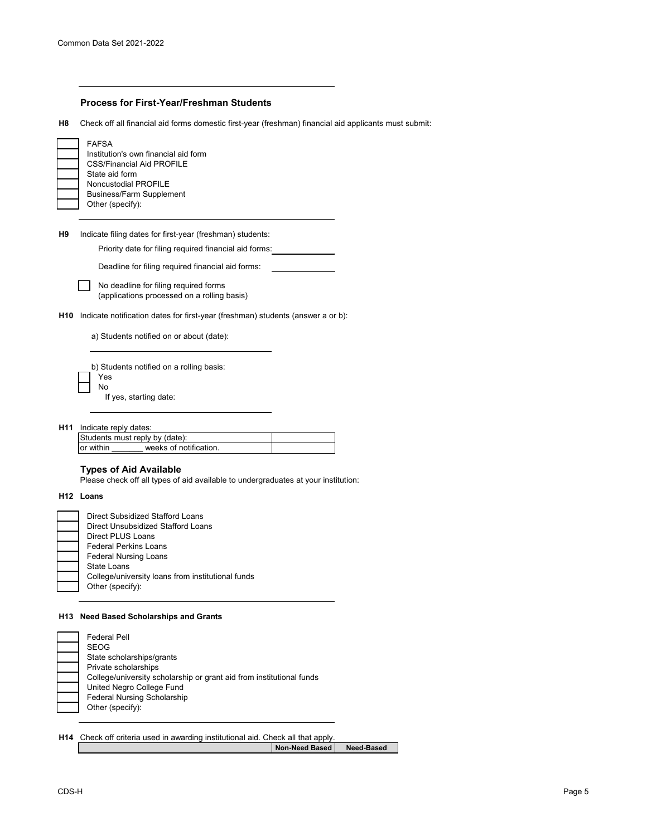## **Process for First-Year/Freshman Students**

**H8** Check off all financial aid forms domestic first-year (freshman) financial aid applicants must submit:

| <b>FAFSA</b>                         |
|--------------------------------------|
| Institution's own financial aid form |
| <b>CSS/Financial Aid PROFILE</b>     |
| State aid form                       |
| Noncustodial PROFILE                 |
| <b>Business/Farm Supplement</b>      |
| Other (specify):                     |

**H9** Indicate filing dates for first-year (freshman) students:

Priority date for filing required financial aid forms:

Deadline for filing required financial aid forms:

No deadline for filing required forms (applications processed on a rolling basis)

**H10** Indicate notification dates for first-year (freshman) students (answer a or b):

a) Students notified on or about (date):

b) Students notified on a rolling basis: Yes No If yes, starting date:

**H11** Indicate reply dates:

| Students must reply by (date):<br>weeks of notification<br>lor within |  |  |
|-----------------------------------------------------------------------|--|--|
|                                                                       |  |  |
|                                                                       |  |  |

#### **Types of Aid Available**

Please check off all types of aid available to undergraduates at your institution:

**H12 Loans**

| Direct Subsidized Stafford Loans                  |
|---------------------------------------------------|
| Direct Unsubsidized Stafford Loans                |
| Direct PLUS Loans                                 |
| <b>Federal Perkins Loans</b>                      |
| <b>Federal Nursing Loans</b>                      |
| State Loans                                       |
| College/university loans from institutional funds |
| Other (specify):                                  |
|                                                   |

### **H13 Need Based Scholarships and Grants**

United Negro College Fund Federal Nursing Scholarship Other (specify): Federal Pell SEOG State scholarships/grants Private scholarships College/university scholarship or grant aid from institutional funds

**H14** Check off criteria used in awarding institutional aid. Check all that apply.

**Non-Need Based Need-Based**